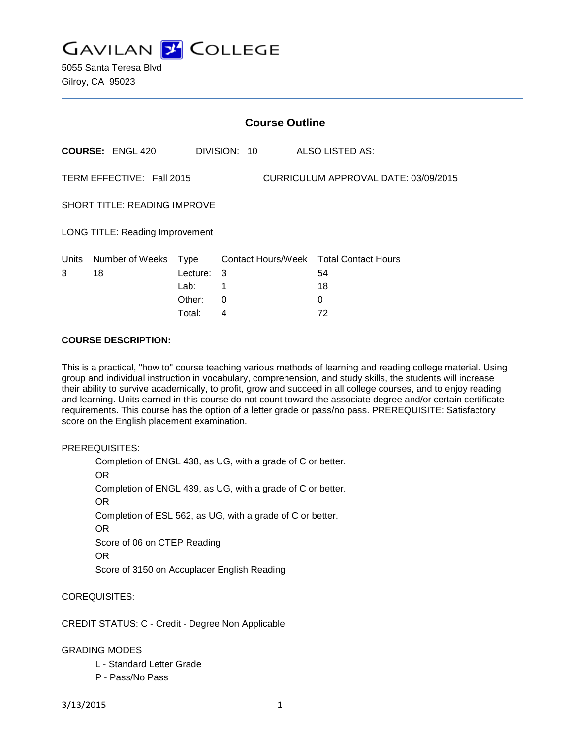**GAVILAN Z COLLEGE** 

5055 Santa Teresa Blvd Gilroy, CA 95023

|                                                                   | <b>Course Outline</b>      |            |              |                                              |
|-------------------------------------------------------------------|----------------------------|------------|--------------|----------------------------------------------|
|                                                                   | <b>COURSE: ENGL 420</b>    |            | DIVISION: 10 | ALSO LISTED AS:                              |
| CURRICULUM APPROVAL DATE: 03/09/2015<br>TERM EFFECTIVE: Fall 2015 |                            |            |              |                                              |
| <b>SHORT TITLE: READING IMPROVE</b>                               |                            |            |              |                                              |
| LONG TITLE: Reading Improvement                                   |                            |            |              |                                              |
| Units<br>3                                                        | Number of Weeks Type<br>18 | Lecture: 3 |              | Contact Hours/Week Total Contact Hours<br>54 |
|                                                                   |                            | Lab:       | 1            | 18                                           |
|                                                                   |                            | Other:     | $\Omega$     | 0                                            |
|                                                                   |                            | Total:     | 4            | 72                                           |

#### **COURSE DESCRIPTION:**

This is a practical, "how to" course teaching various methods of learning and reading college material. Using group and individual instruction in vocabulary, comprehension, and study skills, the students will increase their ability to survive academically, to profit, grow and succeed in all college courses, and to enjoy reading and learning. Units earned in this course do not count toward the associate degree and/or certain certificate requirements. This course has the option of a letter grade or pass/no pass. PREREQUISITE: Satisfactory score on the English placement examination.

PREREQUISITES:

Completion of ENGL 438, as UG, with a grade of C or better. OR Completion of ENGL 439, as UG, with a grade of C or better. OR Completion of ESL 562, as UG, with a grade of C or better. OR Score of 06 on CTEP Reading OR Score of 3150 on Accuplacer English Reading

COREQUISITES:

CREDIT STATUS: C - Credit - Degree Non Applicable

GRADING MODES

- L Standard Letter Grade
- P Pass/No Pass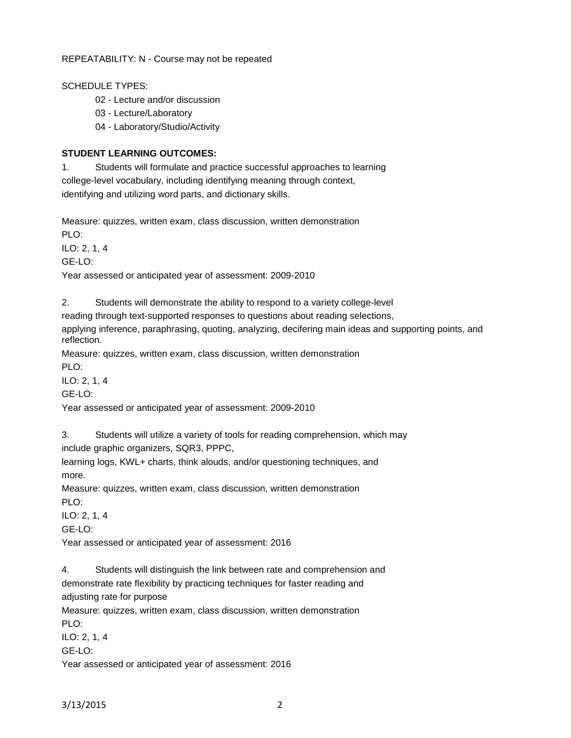REPEATABILITY: N - Course may not be repeated

SCHEDULE TYPES:

02 - Lecture and/or discussion

03 - Lecture/Laboratory

04 - Laboratory/Studio/Activity

## **STUDENT LEARNING OUTCOMES:**

1. Students will formulate and practice successful approaches to learning college-level vocabulary, including identifying meaning through context, identifying and utilizing word parts, and dictionary skills.

Measure: quizzes, written exam, class discussion, written demonstration PLO:

ILO: 2, 1, 4

GE-LO:

Year assessed or anticipated year of assessment: 2009-2010

2. Students will demonstrate the ability to respond to a variety college-level

reading through text-supported responses to questions about reading selections,

applying inference, paraphrasing, quoting, analyzing, decifering main ideas and supporting points, and reflection.

Measure: quizzes, written exam, class discussion, written demonstration

PLO:

ILO: 2, 1, 4

GE-LO:

Year assessed or anticipated year of assessment: 2009-2010

3. Students will utilize a variety of tools for reading comprehension, which may include graphic organizers, SQR3, PPPC,

learning logs, KWL+ charts, think alouds, and/or questioning techniques, and more.

Measure: quizzes, written exam, class discussion, written demonstration PLO:

ILO: 2, 1, 4 GE-LO:

Year assessed or anticipated year of assessment: 2016

4. Students will distinguish the link between rate and comprehension and demonstrate rate flexibility by practicing techniques for faster reading and adjusting rate for purpose

Measure: quizzes, written exam, class discussion, written demonstration PLO:

ILO: 2, 1, 4 GE-LO:

Year assessed or anticipated year of assessment: 2016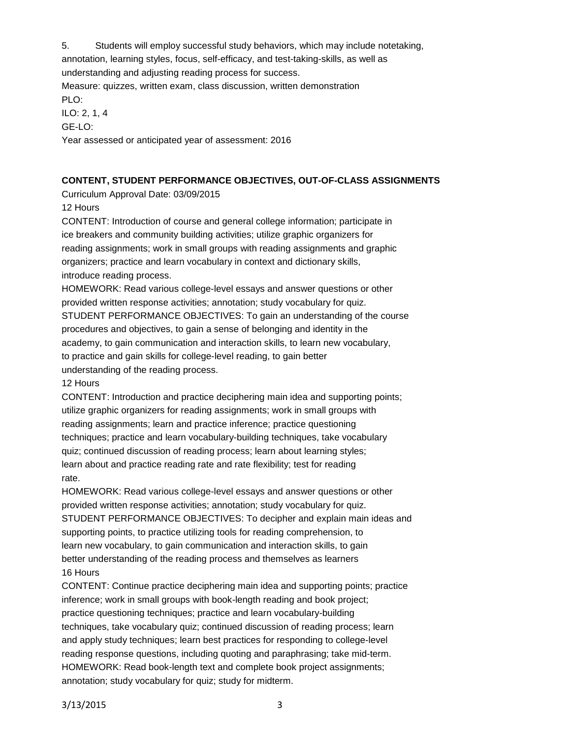5. Students will employ successful study behaviors, which may include notetaking, annotation, learning styles, focus, self-efficacy, and test-taking-skills, as well as understanding and adjusting reading process for success.

Measure: quizzes, written exam, class discussion, written demonstration

PLO:

ILO: 2, 1, 4

GE-LO:

Year assessed or anticipated year of assessment: 2016

## **CONTENT, STUDENT PERFORMANCE OBJECTIVES, OUT-OF-CLASS ASSIGNMENTS**

Curriculum Approval Date: 03/09/2015

12 Hours

CONTENT: Introduction of course and general college information; participate in ice breakers and community building activities; utilize graphic organizers for reading assignments; work in small groups with reading assignments and graphic organizers; practice and learn vocabulary in context and dictionary skills, introduce reading process.

HOMEWORK: Read various college-level essays and answer questions or other provided written response activities; annotation; study vocabulary for quiz. STUDENT PERFORMANCE OBJECTIVES: To gain an understanding of the course procedures and objectives, to gain a sense of belonging and identity in the academy, to gain communication and interaction skills, to learn new vocabulary, to practice and gain skills for college-level reading, to gain better understanding of the reading process.

# 12 Hours

CONTENT: Introduction and practice deciphering main idea and supporting points; utilize graphic organizers for reading assignments; work in small groups with reading assignments; learn and practice inference; practice questioning techniques; practice and learn vocabulary-building techniques, take vocabulary quiz; continued discussion of reading process; learn about learning styles; learn about and practice reading rate and rate flexibility; test for reading rate.

HOMEWORK: Read various college-level essays and answer questions or other provided written response activities; annotation; study vocabulary for quiz. STUDENT PERFORMANCE OBJECTIVES: To decipher and explain main ideas and supporting points, to practice utilizing tools for reading comprehension, to learn new vocabulary, to gain communication and interaction skills, to gain better understanding of the reading process and themselves as learners 16 Hours

CONTENT: Continue practice deciphering main idea and supporting points; practice inference; work in small groups with book-length reading and book project; practice questioning techniques; practice and learn vocabulary-building techniques, take vocabulary quiz; continued discussion of reading process; learn and apply study techniques; learn best practices for responding to college-level reading response questions, including quoting and paraphrasing; take mid-term. HOMEWORK: Read book-length text and complete book project assignments; annotation; study vocabulary for quiz; study for midterm.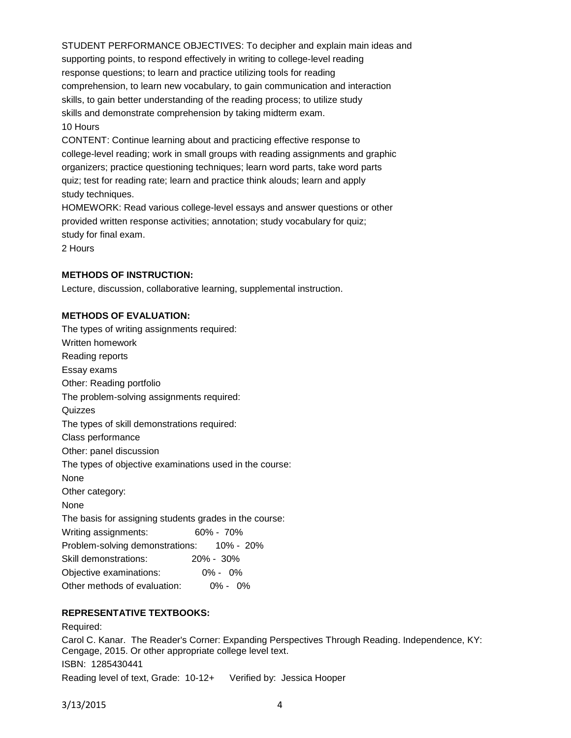STUDENT PERFORMANCE OBJECTIVES: To decipher and explain main ideas and supporting points, to respond effectively in writing to college-level reading response questions; to learn and practice utilizing tools for reading comprehension, to learn new vocabulary, to gain communication and interaction skills, to gain better understanding of the reading process; to utilize study skills and demonstrate comprehension by taking midterm exam. 10 Hours

CONTENT: Continue learning about and practicing effective response to college-level reading; work in small groups with reading assignments and graphic organizers; practice questioning techniques; learn word parts, take word parts quiz; test for reading rate; learn and practice think alouds; learn and apply study techniques.

HOMEWORK: Read various college-level essays and answer questions or other provided written response activities; annotation; study vocabulary for quiz; study for final exam.

2 Hours

### **METHODS OF INSTRUCTION:**

Lecture, discussion, collaborative learning, supplemental instruction.

### **METHODS OF EVALUATION:**

The types of writing assignments required: Written homework Reading reports Essay exams Other: Reading portfolio The problem-solving assignments required: **Quizzes** The types of skill demonstrations required: Class performance Other: panel discussion The types of objective examinations used in the course: None Other category: None The basis for assigning students grades in the course: Writing assignments: 60% - 70% Problem-solving demonstrations: 10% - 20% Skill demonstrations: 20% - 30% Objective examinations: 0% - 0% Other methods of evaluation: 0% - 0%

### **REPRESENTATIVE TEXTBOOKS:**

Required: Carol C. Kanar. The Reader's Corner: Expanding Perspectives Through Reading. Independence, KY: Cengage, 2015. Or other appropriate college level text. ISBN: 1285430441 Reading level of text, Grade: 10-12+ Verified by: Jessica Hooper